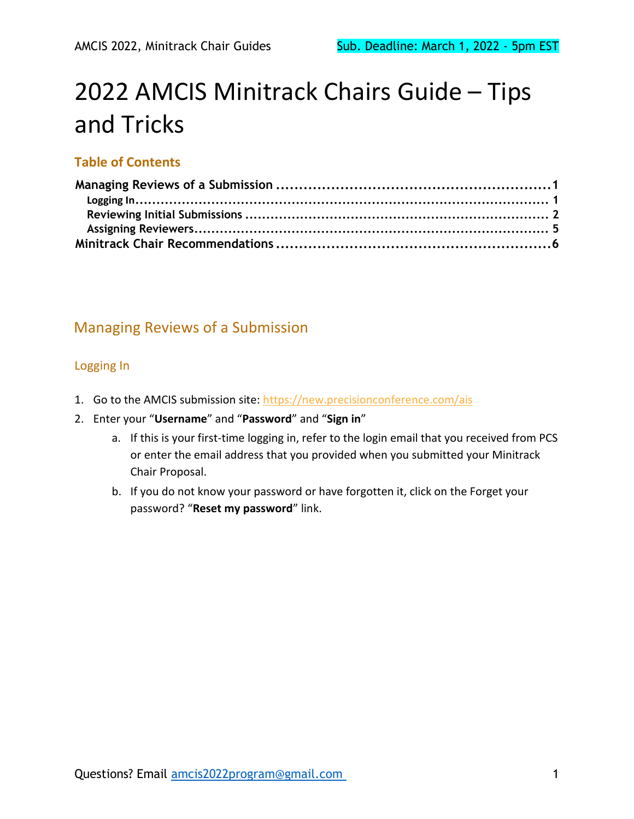# 2022 AMCIS Minitrack Chairs Guide – Tips and Tricks

#### **Table of Contents**

# <span id="page-0-0"></span>Managing Reviews of a Submission

#### <span id="page-0-1"></span>Logging In

- 1. Go to the AMCIS submission site:<https://new.precisionconference.com/ais>
- 2. Enter your "**Username**" and "**Password**" and "**Sign in**"
	- a. If this is your first-time logging in, refer to the login email that you received from PCS or enter the email address that you provided when you submitted your Minitrack Chair Proposal.
	- b. If you do not know your password or have forgotten it, click on the Forget your password? "**Reset my password**" link.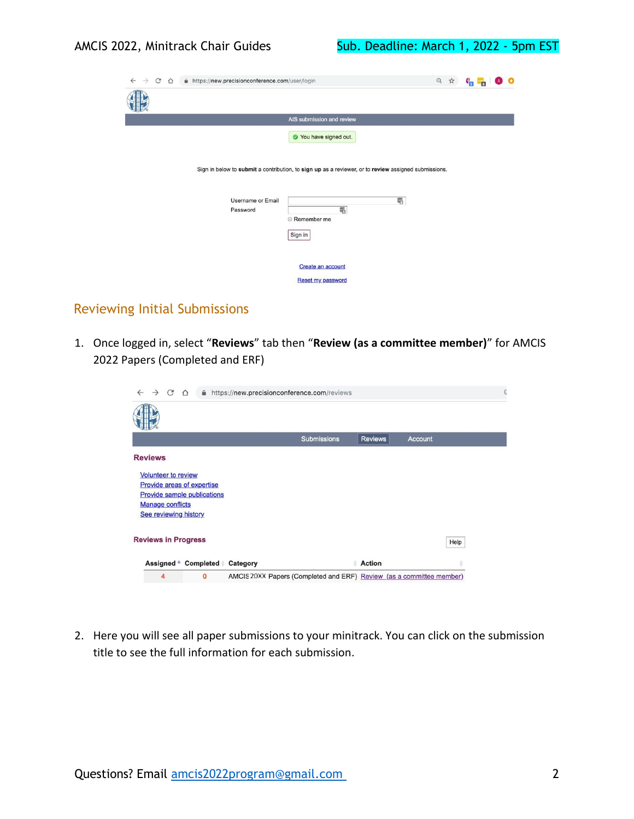| $\leftarrow$ $\rightarrow$<br>C<br>A https://new.precisionconference.com/user/login<br>$\triangle$ |                                                                                                      | 只 ☆ |  |  |  |
|----------------------------------------------------------------------------------------------------|------------------------------------------------------------------------------------------------------|-----|--|--|--|
|                                                                                                    |                                                                                                      |     |  |  |  |
|                                                                                                    | AIS submission and review                                                                            |     |  |  |  |
|                                                                                                    | Vou have signed out.                                                                                 |     |  |  |  |
|                                                                                                    | Sign in below to submit a contribution, to sign up as a reviewer, or to review assigned submissions. |     |  |  |  |
| <b>Username or Email</b>                                                                           | 弔                                                                                                    |     |  |  |  |
| Password                                                                                           | 喝<br>Remember me                                                                                     |     |  |  |  |
|                                                                                                    | Sign in                                                                                              |     |  |  |  |
|                                                                                                    |                                                                                                      |     |  |  |  |
|                                                                                                    | Create an account                                                                                    |     |  |  |  |
|                                                                                                    | <b>Reset my password</b>                                                                             |     |  |  |  |

### <span id="page-1-0"></span>Reviewing Initial Submissions

1. Once logged in, select "**Reviews**" tab then "**Review (as a committee member)**" for AMCIS 2022 Papers (Completed and ERF)

| C<br>$\rightarrow$                                                                    | $\bigcap$                                                               |          | A https://new.precisionconference.com/reviews                        |                |         | $\epsilon$ |
|---------------------------------------------------------------------------------------|-------------------------------------------------------------------------|----------|----------------------------------------------------------------------|----------------|---------|------------|
|                                                                                       |                                                                         |          |                                                                      |                |         |            |
|                                                                                       |                                                                         |          | <b>Submissions</b>                                                   | <b>Reviews</b> | Account |            |
| <b>Reviews</b>                                                                        |                                                                         |          |                                                                      |                |         |            |
| <b>Volunteer to review</b><br><b>Manage conflicts</b><br><b>See reviewing history</b> | <b>Provide areas of expertise</b><br><b>Provide sample publications</b> |          |                                                                      |                |         |            |
| <b>Reviews in Progress</b>                                                            |                                                                         |          |                                                                      |                |         | Help       |
|                                                                                       | Assigned ▲ Completed ≑                                                  | Category |                                                                      | <b>Action</b>  |         |            |
| 4                                                                                     | $\Omega$                                                                |          | AMCIS 20XX Papers (Completed and ERF) Review (as a committee member) |                |         |            |

2. Here you will see all paper submissions to your minitrack. You can click on the submission title to see the full information for each submission.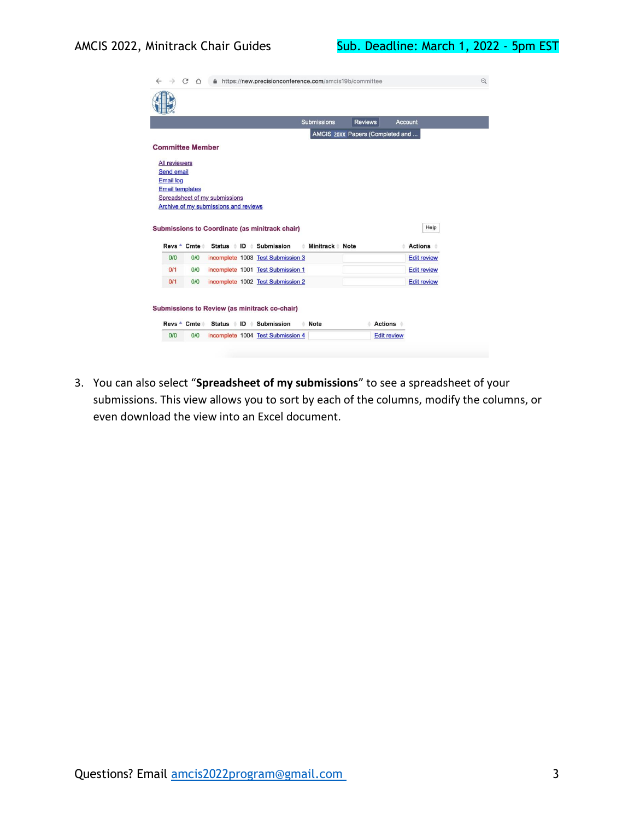| AMCIS 20XX Papers (Completed and<br>Spreadsheet of my submissions<br>Archive of my submissions and reviews<br>Help<br>Submissions to Coordinate (as minitrack chair)<br>Status ID Submission<br>Minitrack Note<br><b>Actions</b><br>incomplete 1003 Test Submission 3<br><b>Edit review</b><br>incomplete 1001 Test Submission 1<br><b>Edit review</b> |                    |
|--------------------------------------------------------------------------------------------------------------------------------------------------------------------------------------------------------------------------------------------------------------------------------------------------------------------------------------------------------|--------------------|
|                                                                                                                                                                                                                                                                                                                                                        |                    |
|                                                                                                                                                                                                                                                                                                                                                        |                    |
|                                                                                                                                                                                                                                                                                                                                                        |                    |
|                                                                                                                                                                                                                                                                                                                                                        |                    |
|                                                                                                                                                                                                                                                                                                                                                        |                    |
|                                                                                                                                                                                                                                                                                                                                                        |                    |
|                                                                                                                                                                                                                                                                                                                                                        |                    |
|                                                                                                                                                                                                                                                                                                                                                        |                    |
|                                                                                                                                                                                                                                                                                                                                                        |                    |
|                                                                                                                                                                                                                                                                                                                                                        |                    |
|                                                                                                                                                                                                                                                                                                                                                        |                    |
|                                                                                                                                                                                                                                                                                                                                                        |                    |
|                                                                                                                                                                                                                                                                                                                                                        |                    |
| incomplete 1002 Test Submission 2                                                                                                                                                                                                                                                                                                                      | <b>Edit review</b> |
|                                                                                                                                                                                                                                                                                                                                                        |                    |
|                                                                                                                                                                                                                                                                                                                                                        |                    |
|                                                                                                                                                                                                                                                                                                                                                        |                    |
|                                                                                                                                                                                                                                                                                                                                                        |                    |
|                                                                                                                                                                                                                                                                                                                                                        |                    |
|                                                                                                                                                                                                                                                                                                                                                        | <b>Actions</b>     |
| Submissions to Review (as minitrack co-chair)<br>Status <i>i</i> ID <i>i</i><br><b>Submission</b><br><b>Note</b><br>õ                                                                                                                                                                                                                                  | <b>Edit review</b> |

3. You can also select "**Spreadsheet of my submissions**" to see a spreadsheet of your submissions. This view allows you to sort by each of the columns, modify the columns, or even download the view into an Excel document.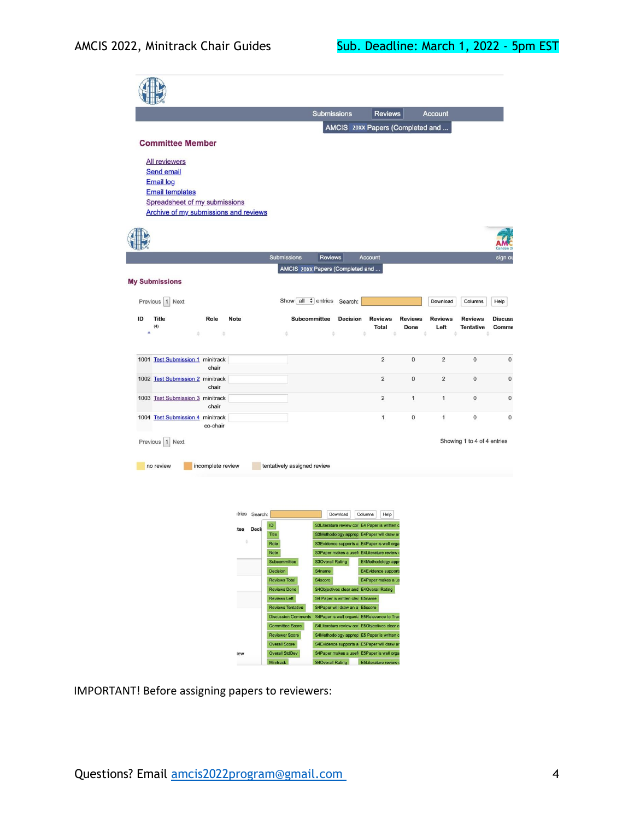|                                              |                                  | <b>Submissions</b>               | <b>Reviews</b>    |                | <b>Account</b> |                             |                                                                       |
|----------------------------------------------|----------------------------------|----------------------------------|-------------------|----------------|----------------|-----------------------------|-----------------------------------------------------------------------|
|                                              |                                  | AMCIS 20XX Papers (Completed and |                   |                |                |                             |                                                                       |
| <b>Committee Member</b>                      |                                  |                                  |                   |                |                |                             |                                                                       |
| <b>All reviewers</b>                         |                                  |                                  |                   |                |                |                             |                                                                       |
| <b>Send email</b>                            |                                  |                                  |                   |                |                |                             |                                                                       |
| <b>Email log</b>                             |                                  |                                  |                   |                |                |                             |                                                                       |
| <b>Email templates</b>                       |                                  |                                  |                   |                |                |                             |                                                                       |
| Spreadsheet of my submissions                |                                  |                                  |                   |                |                |                             |                                                                       |
| Archive of my submissions and reviews        |                                  |                                  |                   |                |                |                             |                                                                       |
|                                              |                                  |                                  |                   |                |                |                             |                                                                       |
|                                              |                                  |                                  |                   |                |                |                             |                                                                       |
|                                              | <b>Submissions</b>               | <b>Reviews</b><br>Account        |                   |                |                |                             | ancún 2                                                               |
|                                              |                                  |                                  |                   |                |                |                             | sign ou                                                               |
|                                              | AMCIS 20XX Papers (Completed and |                                  |                   |                |                |                             |                                                                       |
| <b>My Submissions</b>                        |                                  |                                  |                   |                |                |                             |                                                                       |
| Previous 1 Next                              | Show all $\div$ entries Search:  |                                  |                   |                | Download       | Columns                     | Help                                                                  |
|                                              |                                  |                                  |                   |                |                |                             |                                                                       |
| ID<br><b>Title</b><br>Role<br>Note           | <b>Subcommittee</b>              | <b>Decision</b>                  | <b>Reviews</b>    | <b>Reviews</b> | <b>Reviews</b> |                             | <b>Discuss</b>                                                        |
| (4)                                          |                                  |                                  |                   |                |                | <b>Reviews</b>              |                                                                       |
| $\hat{\mathbf{A}}$<br>沙<br>à.                | é                                | ö<br>÷                           | <b>Total</b><br>÷ | Done<br>÷      | Left<br>ò      | <b>Tentative</b><br>ö       |                                                                       |
|                                              |                                  |                                  |                   |                |                |                             |                                                                       |
|                                              |                                  |                                  |                   |                |                |                             |                                                                       |
| 1001 Test Submission 1 minitrack<br>chair    |                                  |                                  | $\overline{2}$    | $\mathbf 0$    | $\overline{2}$ | 0                           |                                                                       |
| 1002 Test Submission 2 minitrack             |                                  |                                  | $\overline{2}$    | $\mathbf{0}$   | $\overline{2}$ | $\mathbf 0$                 |                                                                       |
| chair                                        |                                  |                                  |                   |                |                |                             |                                                                       |
| 1003 Test Submission 3 minitrack             |                                  |                                  | $\overline{2}$    | 1              | $\mathbf{1}$   | $\mathbf{0}$                |                                                                       |
| chair                                        |                                  |                                  |                   | $\mathbf{0}$   | $\mathbf{1}$   |                             |                                                                       |
| 1004 Test Submission 4 minitrack<br>co-chair |                                  |                                  | 1                 |                |                | $\mathbf 0$                 |                                                                       |
|                                              |                                  |                                  |                   |                |                |                             |                                                                       |
| Previous 1<br>Next                           |                                  |                                  |                   |                |                | Showing 1 to 4 of 4 entries |                                                                       |
|                                              |                                  |                                  |                   |                |                |                             | Comme<br>$\mathbf{0}$<br>$\mathbf{0}$<br>$\mathbf{0}$<br>$\mathbf{0}$ |
| no review<br>incomplete review               | tentatively assigned review      |                                  |                   |                |                |                             |                                                                       |
|                                              |                                  |                                  |                   |                |                |                             |                                                                       |
|                                              |                                  |                                  |                   |                |                |                             |                                                                       |



IMPORTANT! Before assigning papers to reviewers: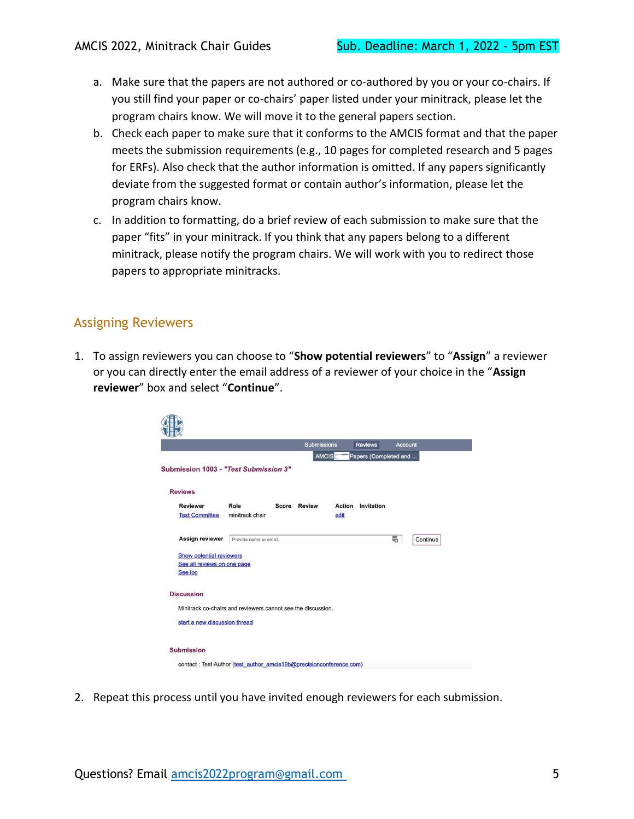- a. Make sure that the papers are not authored or co-authored by you or your co-chairs. If you still find your paper or co-chairs' paper listed under your minitrack, please let the program chairs know. We will move it to the general papers section.
- b. Check each paper to make sure that it conforms to the AMCIS format and that the paper meets the submission requirements (e.g., 10 pages for completed research and 5 pages for ERFs). Also check that the author information is omitted. If any papers significantly deviate from the suggested format or contain author's information, please let the program chairs know.
- c. In addition to formatting, do a brief review of each submission to make sure that the paper "fits" in your minitrack. If you think that any papers belong to a different minitrack, please notify the program chairs. We will work with you to redirect those papers to appropriate minitracks.

#### <span id="page-4-0"></span>Assigning Reviewers

1. To assign reviewers you can choose to "**Show potential reviewers**" to "**Assign**" a reviewer or you can directly enter the email address of a reviewer of your choice in the "**Assign reviewer**" box and select "**Continue**".

| AMCIS<br>Papers (Completed and<br>Submission 1003 - "Test Submission 3"<br><b>Reviews</b><br><b>Reviewer</b><br>Role<br><b>Score Review</b><br>Action<br>Invitation<br>minitrack chair<br><b>Test Committee</b><br>edit<br><b>Assign reviewer</b><br>Provide name or email.<br><b>Show potential reviewers</b><br>See all reviews on one page<br>See log<br><b>Discussion</b><br>Minitrack co-chairs and reviewers cannot see the discussion.<br>start a new discussion thread<br><b>Submission</b> | <b>Account</b> |
|-----------------------------------------------------------------------------------------------------------------------------------------------------------------------------------------------------------------------------------------------------------------------------------------------------------------------------------------------------------------------------------------------------------------------------------------------------------------------------------------------------|----------------|
|                                                                                                                                                                                                                                                                                                                                                                                                                                                                                                     |                |
|                                                                                                                                                                                                                                                                                                                                                                                                                                                                                                     |                |
|                                                                                                                                                                                                                                                                                                                                                                                                                                                                                                     |                |
|                                                                                                                                                                                                                                                                                                                                                                                                                                                                                                     |                |
|                                                                                                                                                                                                                                                                                                                                                                                                                                                                                                     |                |
|                                                                                                                                                                                                                                                                                                                                                                                                                                                                                                     | 喎<br>Continue  |
|                                                                                                                                                                                                                                                                                                                                                                                                                                                                                                     |                |
|                                                                                                                                                                                                                                                                                                                                                                                                                                                                                                     |                |
|                                                                                                                                                                                                                                                                                                                                                                                                                                                                                                     |                |
|                                                                                                                                                                                                                                                                                                                                                                                                                                                                                                     |                |
|                                                                                                                                                                                                                                                                                                                                                                                                                                                                                                     |                |
|                                                                                                                                                                                                                                                                                                                                                                                                                                                                                                     |                |
|                                                                                                                                                                                                                                                                                                                                                                                                                                                                                                     |                |
|                                                                                                                                                                                                                                                                                                                                                                                                                                                                                                     |                |
|                                                                                                                                                                                                                                                                                                                                                                                                                                                                                                     |                |
| contact: Test Author (test author amcis19b@precisionconference.com)                                                                                                                                                                                                                                                                                                                                                                                                                                 |                |

2. Repeat this process until you have invited enough reviewers for each submission.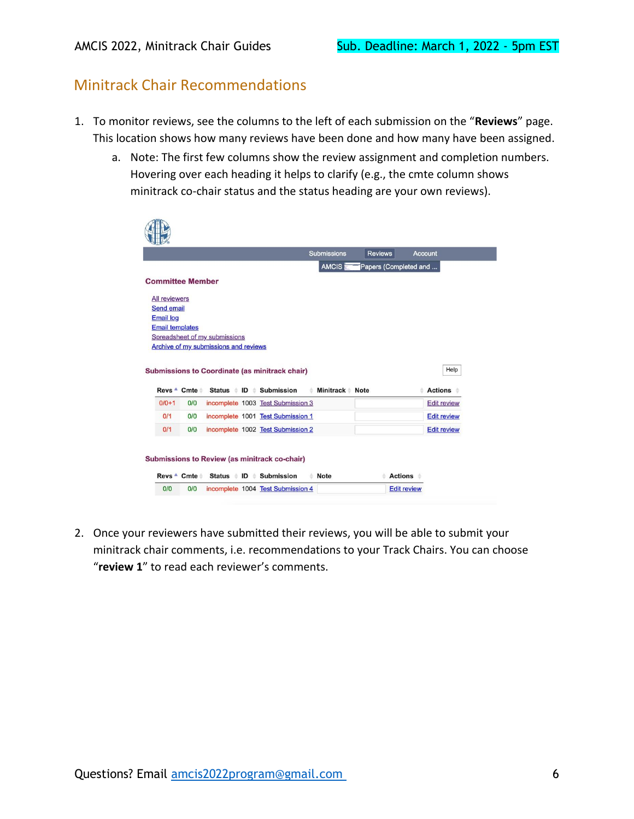## <span id="page-5-0"></span>Minitrack Chair Recommendations

- 1. To monitor reviews, see the columns to the left of each submission on the "**Reviews**" page. This location shows how many reviews have been done and how many have been assigned.
	- a. Note: The first few columns show the review assignment and completion numbers. Hovering over each heading it helps to clarify (e.g., the cmte column shows minitrack co-chair status and the status heading are your own reviews).

|                                                     | <b>Reviews</b><br>Account<br><b>Submissions</b> |
|-----------------------------------------------------|-------------------------------------------------|
|                                                     | AMCIS <sub>1</sub><br>Papers (Completed and     |
| <b>Committee Member</b>                             |                                                 |
| <b>All reviewers</b>                                |                                                 |
| <b>Send email</b>                                   |                                                 |
| <b>Email log</b>                                    |                                                 |
| <b>Email templates</b>                              |                                                 |
| Spreadsheet of my submissions                       |                                                 |
| Archive of my submissions and reviews               |                                                 |
|                                                     |                                                 |
|                                                     |                                                 |
| Submissions to Coordinate (as minitrack chair)      | Help                                            |
|                                                     |                                                 |
| Status ID Submission<br>Revs ▲ Cmte ↓               | Minitrack Mote<br><b>Actions</b><br>÷           |
| $0/0+1$<br>0/0<br>incomplete 1003 Test Submission 3 | <b>Edit review</b>                              |
| 0/1<br>0/0<br>incomplete 1001 Test Submission 1     | <b>Edit review</b>                              |
| 0/0<br>0/1<br>incomplete 1002 Test Submission 2     | <b>Edit review</b>                              |

2. Once your reviewers have submitted their reviews, you will be able to submit your minitrack chair comments, i.e. recommendations to your Track Chairs. You can choose "**review 1**" to read each reviewer's comments.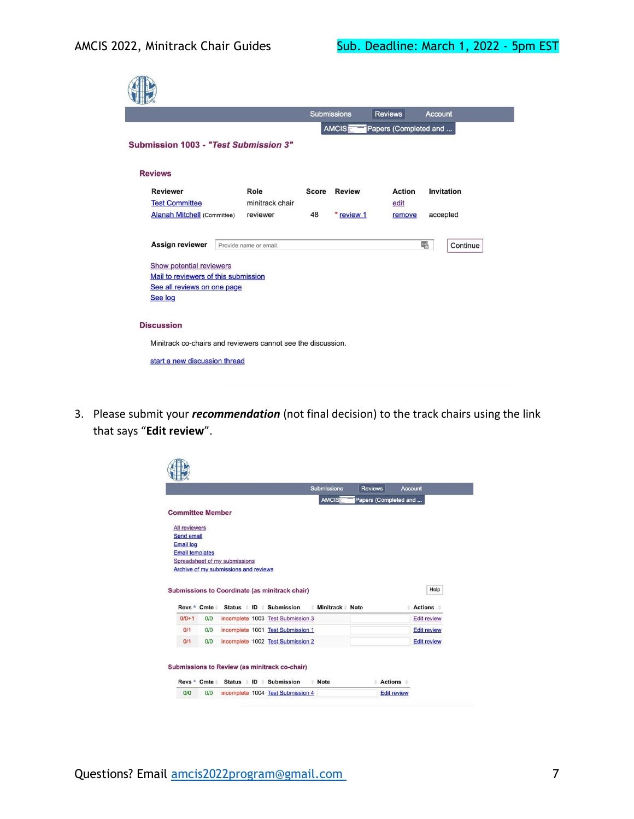|                                             |                                                              |              | <b>Submissions</b> | <b>Reviews</b>        | <b>Account</b> |
|---------------------------------------------|--------------------------------------------------------------|--------------|--------------------|-----------------------|----------------|
|                                             |                                                              |              | <b>AMCIS</b>       | Papers (Completed and |                |
| Submission 1003 - "Test Submission 3"       |                                                              |              |                    |                       |                |
|                                             |                                                              |              |                    |                       |                |
| <b>Reviews</b>                              |                                                              |              |                    |                       |                |
| <b>Reviewer</b>                             | Role                                                         | <b>Score</b> | <b>Review</b>      | <b>Action</b>         | Invitation     |
| <b>Test Committee</b>                       | minitrack chair                                              |              |                    | edit                  |                |
| <b>Alanah Mitchell</b> (Committee)          | reviewer                                                     | 48           | * review 1         | remove                | accepted       |
| Assign reviewer<br>Show potential reviewers | Provide name or email.                                       |              |                    |                       | 喝<br>Continue  |
| Mail to reviewers of this submission        |                                                              |              |                    |                       |                |
| See all reviews on one page                 |                                                              |              |                    |                       |                |
| See log                                     |                                                              |              |                    |                       |                |
|                                             |                                                              |              |                    |                       |                |
| <b>Discussion</b>                           |                                                              |              |                    |                       |                |
|                                             | Minitrack co-chairs and reviewers cannot see the discussion. |              |                    |                       |                |
| start a new discussion thread               |                                                              |              |                    |                       |                |
|                                             |                                                              |              |                    |                       |                |

3. Please submit your *recommendation* (not final decision) to the track chairs using the link that says "**Edit review**".

|                        |                         |                                                |                                               | <b>Submissions</b> | <b>Reviews</b>        | <b>Account</b>     |
|------------------------|-------------------------|------------------------------------------------|-----------------------------------------------|--------------------|-----------------------|--------------------|
|                        |                         |                                                |                                               | AMCIS              | Papers (Completed and |                    |
|                        | <b>Committee Member</b> |                                                |                                               |                    |                       |                    |
| All reviewers          |                         |                                                |                                               |                    |                       |                    |
| <b>Send email</b>      |                         |                                                |                                               |                    |                       |                    |
| <b>Email log</b>       |                         |                                                |                                               |                    |                       |                    |
| <b>Email templates</b> |                         |                                                |                                               |                    |                       |                    |
|                        |                         | Spreadsheet of my submissions                  |                                               |                    |                       |                    |
|                        |                         | Archive of my submissions and reviews          |                                               |                    |                       |                    |
|                        |                         | Submissions to Coordinate (as minitrack chair) |                                               |                    |                       | Help               |
|                        | $Revs - Cmte$           |                                                | Status ID Submission                          | Minitrack Note     |                       | <b>Actions</b>     |
| $0/0 + 1$              | O/O                     |                                                | incomplete 1003 Test Submission 3             |                    |                       | <b>Edit review</b> |
| 0/1                    | 0/0                     |                                                | incomplete 1001 Test Submission 1             |                    |                       | <b>Edit review</b> |
| 0/1                    | O/O                     |                                                | incomplete 1002 Test Submission 2             |                    |                       | <b>Edit review</b> |
|                        |                         |                                                |                                               |                    |                       |                    |
|                        |                         |                                                |                                               |                    |                       |                    |
|                        |                         |                                                | Submissions to Review (as minitrack co-chair) |                    |                       |                    |
|                        | Revs <sup>+</sup> Cmte  |                                                | Status ID Submission                          | <b>Note</b>        | <b>Actions</b>        |                    |
|                        |                         |                                                |                                               |                    |                       |                    |
| 0/0                    | O/O                     |                                                | incomplete 1004 Test Submission 4             |                    | <b>Edit review</b>    |                    |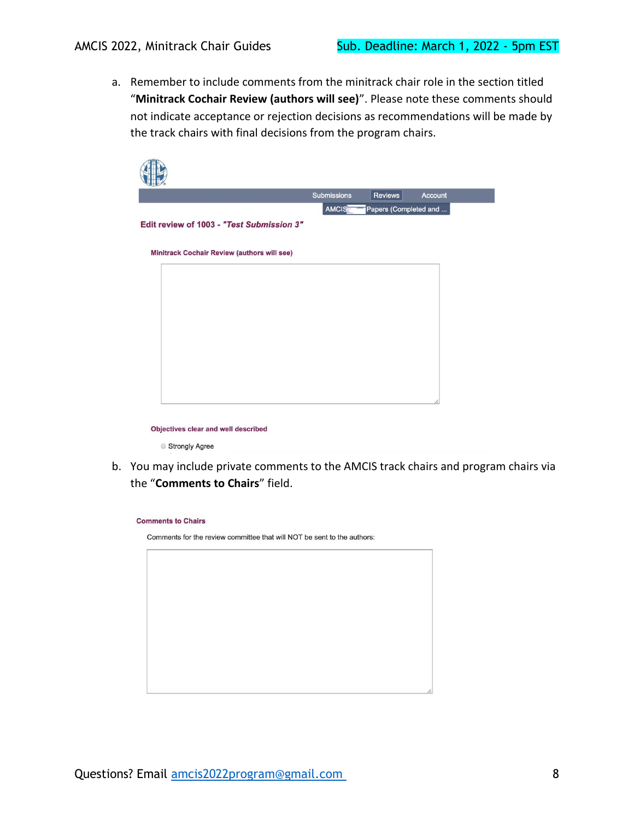a. Remember to include comments from the minitrack chair role in the section titled "**Minitrack Cochair Review (authors will see)**". Please note these comments should not indicate acceptance or rejection decisions as recommendations will be made by the track chairs with final decisions from the program chairs.

|                                             | Submissions | Reviews                     | Account |
|---------------------------------------------|-------------|-----------------------------|---------|
| Edit review of 1003 - "Test Submission 3"   |             | AMCIS Papers (Completed and |         |
| Minitrack Cochair Review (authors will see) |             |                             |         |
|                                             |             |                             |         |

Objectives clear and well described

Strongly Agree

b. You may include private comments to the AMCIS track chairs and program chairs via the "**Comments to Chairs**" field.

| <b>Comments to Chairs</b>                                               |
|-------------------------------------------------------------------------|
| Comments for the review committee that will NOT be sent to the authors: |
|                                                                         |
|                                                                         |
|                                                                         |
|                                                                         |
|                                                                         |
|                                                                         |
|                                                                         |
|                                                                         |
|                                                                         |